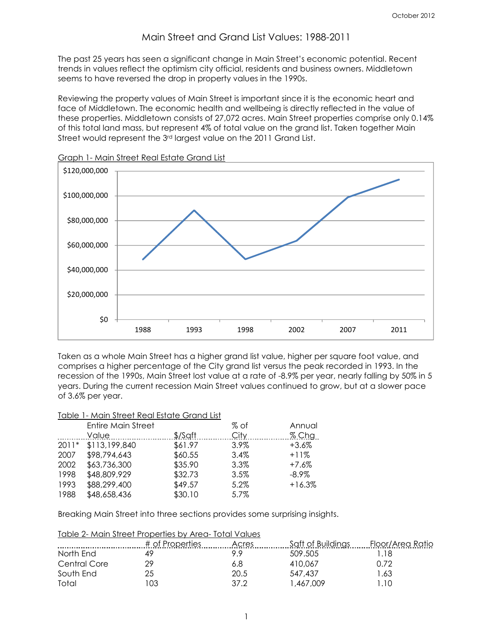# Main Street and Grand List Values: 1988-2011

The past 25 years has seen a significant change in Main Street's economic potential. Recent trends in values reflect the optimism city official, residents and business owners. Middletown seems to have reversed the drop in property values in the 1990s.

Reviewing the property values of Main Street is important since it is the economic heart and face of Middletown. The economic health and wellbeing is directly reflected in the value of these properties. Middletown consists of 27,072 acres. Main Street properties comprise only 0.14% of this total land mass, but represent 4% of total value on the grand list. Taken together Main Street would represent the 3<sup>rd</sup> largest value on the 2011 Grand List.



Graph 1- Main Street Real Estate Grand List

Taken as a whole Main Street has a higher grand list value, higher per square foot value, and comprises a higher percentage of the City grand list versus the peak recorded in 1993. In the recession of the 1990s, Main Street lost value at a rate of -8.9% per year, nearly falling by 50% in 5 years. During the current recession Main Street values continued to grow, but at a slower pace of 3.6% per year.

#### Table 1- Main Street Real Estate Grand List

|         | <b>Entire Main Street</b> |           | % of    | Annual   |
|---------|---------------------------|-----------|---------|----------|
|         | Value                     | $$$ /Saft | City    | $%$ Chg  |
| $2011*$ | \$113,199,840             | \$61.97   | $3.9\%$ | +3.6%    |
| 2007    | \$98,794,643              | \$60.55   | 3.4%    | $+11%$   |
| 2002    | \$63,736,300              | \$35.90   | 3.3%    | $+7.6%$  |
| 1998    | \$48,809,929              | \$32.73   | 3.5%    | -8.9%    |
| 1993    | \$88,299,400              | \$49.57   | 5.2%    | $+16.3%$ |
| 1988    | \$48,658,436              | \$30.10   | 5.7%    |          |

Breaking Main Street into three sections provides some surprising insights.

|              | Table 2- Main Street Properties by Area-Total Values |       |                   |                  |
|--------------|------------------------------------------------------|-------|-------------------|------------------|
|              | # of Properties                                      | Acres | Saft of Buildings | Floor/Area Ratio |
| North End    | 49                                                   | 99    | 509.505           | .18              |
| Central Core | 29                                                   | 6.8   | 410.067           | በ 72             |
| South End    | 25                                                   | 20.5  | 547.437           | 63. ا            |
| Total        | 103                                                  | 37.2  | .467.009          | .10              |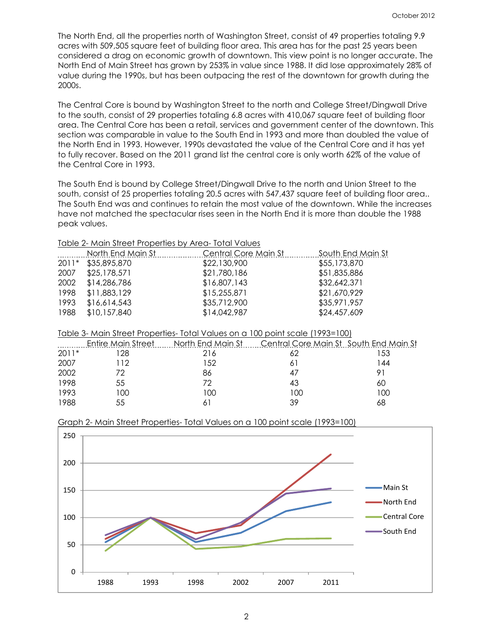The North End, all the properties north of Washington Street, consist of 49 properties totaling 9.9 acres with 509,505 square feet of building floor area. This area has for the past 25 years been considered a drag on economic growth of downtown. This view point is no longer accurate. The North End of Main Street has grown by 253% in value since 1988. It did lose approximately 28% of value during the 1990s, but has been outpacing the rest of the downtown for growth during the 2000s.

The Central Core is bound by Washington Street to the north and College Street/Dingwall Drive to the south, consist of 29 properties totaling 6.8 acres with 410,067 square feet of building floor area. The Central Core has been a retail, services and government center of the downtown. This section was comparable in value to the South End in 1993 and more than doubled the value of the North End in 1993. However, 1990s devastated the value of the Central Core and it has yet to fully recover. Based on the 2011 grand list the central core is only worth 62% of the value of the Central Core in 1993.

The South End is bound by College Street/Dingwall Drive to the north and Union Street to the south, consist of 25 properties totaling 20.5 acres with 547,437 square feet of building floor area.. The South End was and continues to retain the most value of the downtown. While the increases have not matched the spectacular rises seen in the North End it is more than double the 1988 peak values.

|      | TODIC 2- MOILL STICCT LIODCHICS DY AFO-TOTAL VOIDES |                      |                   |
|------|-----------------------------------------------------|----------------------|-------------------|
|      | North End Main St                                   | Central Core Main St | South End Main St |
|      | 2011* \$35,895,870                                  | \$22,130,900         | \$55,173,870      |
| 2007 | \$25,178,571                                        | \$21,780,186         | \$51,835,886      |
| 2002 | \$14,286,786                                        | \$16,807,143         | \$32,642,371      |
| 1998 | \$11,883,129                                        | \$15,255,871         | \$21,670,929      |
| 1993 | \$16,614,543                                        | \$35,712,900         | \$35,971,957      |
| 1988 | \$10,157,840                                        | \$14,042,987         | \$24,457,609      |
|      |                                                     |                      |                   |

# Table 2- Main Street Properties by Area- Total Values

| Table 3- Main Street Properties- Total Values on a 100 point scale (1993=100) |
|-------------------------------------------------------------------------------|
|-------------------------------------------------------------------------------|

|         | Entire Main Street | North End Main St | Central Core Main St South End Main St |     |
|---------|--------------------|-------------------|----------------------------------------|-----|
| $2011*$ | 128                | 216               |                                        | -53 |
| 2007    | 112                | ' 52              |                                        | 44  |
| 2002    | 77                 | 86                |                                        |     |
| 1998    | 55                 | 77                |                                        | 60  |
| 1993    | 100                | 100               | 100                                    | 00  |
| 1988    | 55                 |                   | 39                                     | 68  |



## Graph 2- Main Street Properties- Total Values on a 100 point scale (1993=100)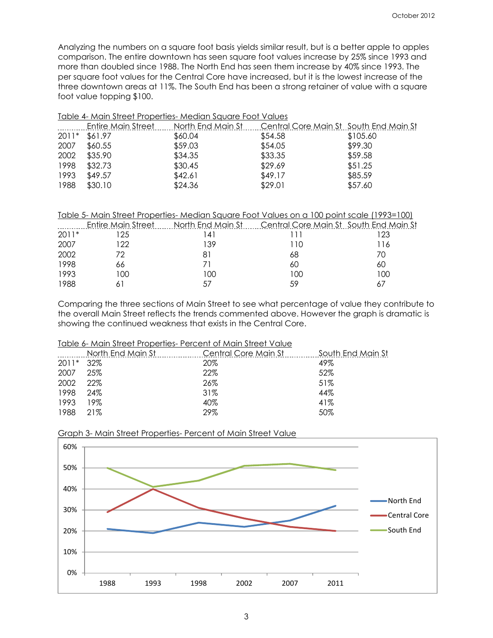Analyzing the numbers on a square foot basis yields similar result, but is a better apple to apples comparison. The entire downtown has seen square foot values increase by 25% since 1993 and more than doubled since 1988. The North End has seen them increase by 40% since 1993. The per square foot values for the Central Core have increased, but it is the lowest increase of the three downtown areas at 11%. The South End has been a strong retainer of value with a square foot value topping \$100.

|       | Table 4- Main Street Properties- Median Square Foot Values |                                                                     |         |          |  |
|-------|------------------------------------------------------------|---------------------------------------------------------------------|---------|----------|--|
|       | <b>Entire Main Street</b>                                  | <u> North End Main St. Central Core Main St. South End Main St.</u> |         |          |  |
| 2011* | \$61.97                                                    | \$60.04                                                             | \$54.58 | \$105.60 |  |
| 2007  | \$60.55                                                    | \$59.03                                                             | \$54.05 | \$99.30  |  |
| 2002  | \$35.90                                                    | \$34.35                                                             | \$33.35 | \$59.58  |  |
| 1998  | \$32.73                                                    | \$30.45                                                             | \$29.69 | \$51.25  |  |
| 1993  | \$49.57                                                    | \$42.61                                                             | \$49.17 | \$85.59  |  |
| 1988  | \$30.10                                                    | \$24.36                                                             | \$29.01 | \$57.60  |  |
|       |                                                            |                                                                     |         |          |  |

|         |     |           | Table 5- Main Street Properties- Median Square Foot Values on a 100 point scale (1993=100) |     |
|---------|-----|-----------|--------------------------------------------------------------------------------------------|-----|
|         |     |           | Entire Main Street North End Main St Central Core Main St South End Main St                |     |
| $2011*$ | 125 | $\vert$ 4 |                                                                                            | -23 |
| 2007    | 122 | 139       | LTO                                                                                        | 116 |
| 2002    |     | 81        | 68                                                                                         | 70  |
| 1998    | 66  |           | 60                                                                                         | 60  |
| 1993    | 100 | 100       | 100                                                                                        | 100 |
| 1988    |     |           | 59                                                                                         |     |

Comparing the three sections of Main Street to see what percentage of value they contribute to the overall Main Street reflects the trends commented above. However the graph is dramatic is showing the continued weakness that exists in the Central Core.

## Table 6- Main Street Properties- Percent of Main Street Value

|         | North End Main St | Central Core Main St | South End Main St |
|---------|-------------------|----------------------|-------------------|
| $2011*$ | 32%               | 20%                  | 49%               |
| 2007    | 25%               | 22%                  | 52%               |
| 2002    | 22%               | 26%                  | 51%               |
| 1998    | 24%               | 31%                  | 44%               |
| 1993    | 19%               | 40%                  | 41%               |
| 1988    | 21%               | 29%                  | 50%               |
|         |                   |                      |                   |



Graph 3- Main Street Properties- Percent of Main Street Value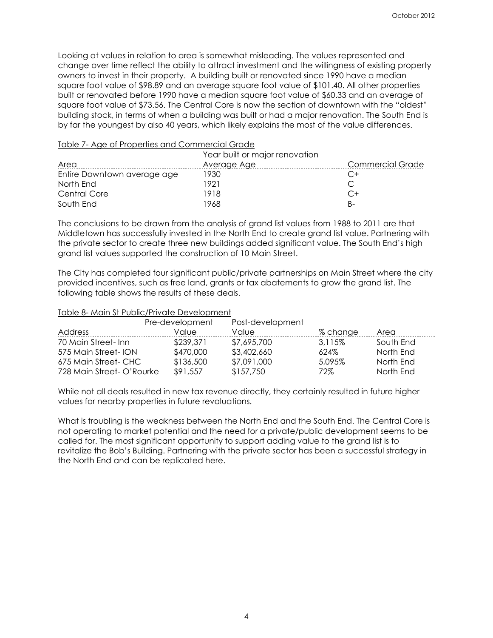Looking at values in relation to area is somewhat misleading. The values represented and change over time reflect the ability to attract investment and the willingness of existing property owners to invest in their property. A building built or renovated since 1990 have a median square foot value of \$98.89 and an average square foot value of \$101.40. All other properties built or renovated before 1990 have a median square foot value of \$60.33 and an average of square foot value of \$73.56. The Central Core is now the section of downtown with the "oldest" building stock, in terms of when a building was built or had a major renovation. The South End is by far the youngest by also 40 years, which likely explains the most of the value differences.

#### Table 7- Age of Properties and Commercial Grade

|                             | Year built or major renovation |                         |  |
|-----------------------------|--------------------------------|-------------------------|--|
| Area                        | Average Age                    | <b>Commercial Grade</b> |  |
| Entire Downtown average age | 1930                           |                         |  |
| North End                   | 1921                           |                         |  |
| Central Core                | 1918                           | $C+$                    |  |
| South End                   | 1968                           | B-                      |  |

The conclusions to be drawn from the analysis of grand list values from 1988 to 2011 are that Middletown has successfully invested in the North End to create grand list value. Partnering with the private sector to create three new buildings added significant value. The South End's high grand list values supported the construction of 10 Main Street.

The City has completed four significant public/private partnerships on Main Street where the city provided incentives, such as free land, grants or tax abatements to grow the grand list. The following table shows the results of these deals.

### Table 8- Main St Public/Private Development

|                           | Pre-development | Post-development |          |           |
|---------------------------|-----------------|------------------|----------|-----------|
| Address                   | Value           | Value            | % change | Area      |
| 70 Main Street-Inn        | \$239,371       | \$7,695,700      | 3.115%   | South End |
| 575 Main Street-ION       | \$470,000       | \$3,402,660      | 624%     | North End |
| 675 Main Street- CHC      | \$136,500       | \$7,091,000      | 5,095%   | North End |
| 728 Main Street- O'Rourke | \$91,557        | \$157,750        | 72%      | North End |

While not all deals resulted in new tax revenue directly, they certainly resulted in future higher values for nearby properties in future revaluations.

What is troubling is the weakness between the North End and the South End. The Central Core is not operating to market potential and the need for a private/public development seems to be called for. The most significant opportunity to support adding value to the grand list is to revitalize the Bob's Building. Partnering with the private sector has been a successful strategy in the North End and can be replicated here.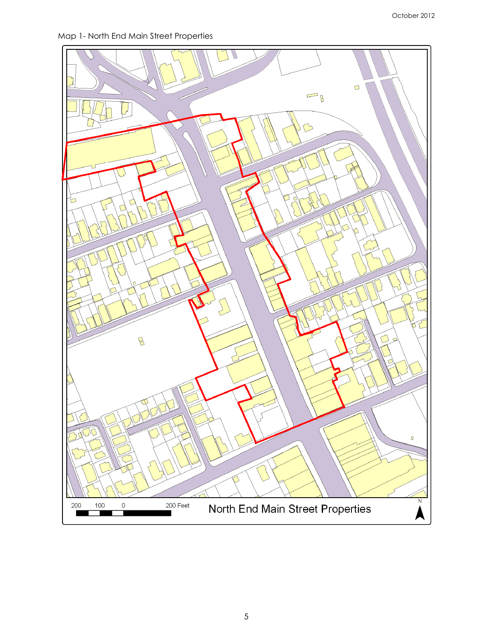Map 1- North End Main Street Properties

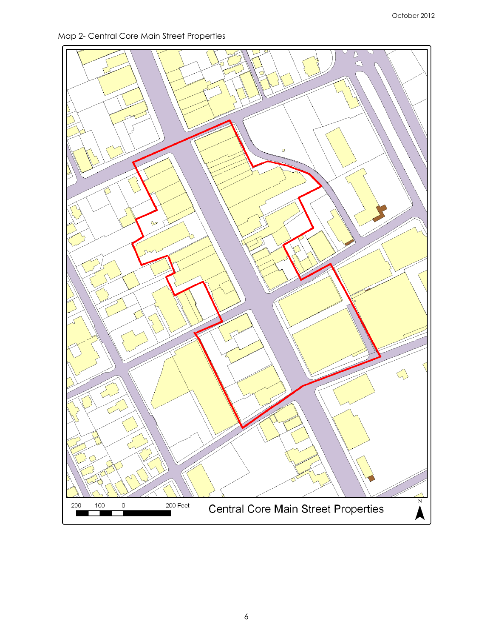Map 2- Central Core Main Street Properties